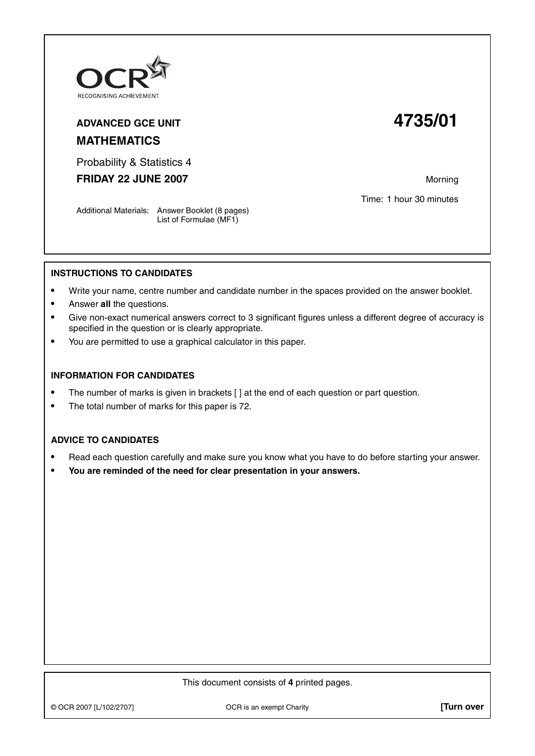

## **ADVANCED GCE UNIT 4735/01 MATHEMATICS**

Probability & Statistics 4

**FRIDAY 22 JUNE 2007** Morning

Time: 1 hour 30 minutes

Additional Materials: Answer Booklet (8 pages) List of Formulae (MF1)

## **INSTRUCTIONS TO CANDIDATES**

- **•** Write your name, centre number and candidate number in the spaces provided on the answer booklet.
- **•** Answer **all** the questions.
- **•** Give non-exact numerical answers correct to 3 significant figures unless a different degree of accuracy is specified in the question or is clearly appropriate.
- **•** You are permitted to use a graphical calculator in this paper.

## **INFORMATION FOR CANDIDATES**

- The number of marks is given in brackets [ ] at the end of each question or part question.
- **•** The total number of marks for this paper is 72.

## **ADVICE TO CANDIDATES**

- **•** Read each question carefully and make sure you know what you have to do before starting your answer.
- **• You are reminded of the need for clear presentation in your answers.**

This document consists of **4** printed pages.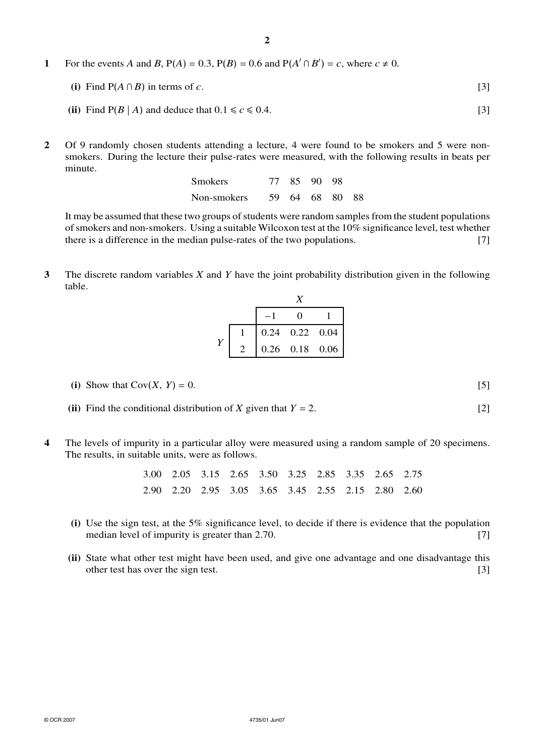**1** For the events *A* and *B*,  $P(A) = 0.3$ ,  $P(B) = 0.6$  and  $P(A' \cap B') = c$ , where  $c \neq 0$ .

(i) Find 
$$
P(A \cap B)
$$
 in terms of c. [3]

- (ii) Find  $P(B \mid A)$  and deduce that  $0.1 \le c \le 0.4$ . [3]
- **2** Of 9 randomly chosen students attending a lecture, 4 were found to be smokers and 5 were nonsmokers. During the lecture their pulse-rates were measured, with the following results in beats per minute.

| <b>Smokers</b> |  | 77 85 90 98    |  |
|----------------|--|----------------|--|
| Non-smokers    |  | 59 64 68 80 88 |  |

It may be assumed that these two groups of students were random samples from the student populations of smokers and non-smokers. Using a suitable Wilcoxon test at the 10% significance level, test whether there is a difference in the median pulse-rates of the two populations. [7]

**3** The discrete random variables *X* and *Y* have the joint probability distribution given in the following table.

|  | $0.24$ 0.22 0.04 |                  |
|--|------------------|------------------|
|  |                  | $0.26$ 0.18 0.06 |

- (i) Show that  $Cov(X, Y) = 0.$  [5]
- **(ii)** Find the conditional distribution of *X* given that  $Y = 2$ . [2]
- **4** The levels of impurity in a particular alloy were measured using a random sample of 20 specimens. The results, in suitable units, were as follows.

|  |  |  |  | 3.00 2.05 3.15 2.65 3.50 3.25 2.85 3.35 2.65 2.75 |  |
|--|--|--|--|---------------------------------------------------|--|
|  |  |  |  | 2.90 2.20 2.95 3.05 3.65 3.45 2.55 2.15 2.80 2.60 |  |

- **(i)** Use the sign test, at the 5% significance level, to decide if there is evidence that the population median level of impurity is greater than 2.70. [7]
- **(ii)** State what other test might have been used, and give one advantage and one disadvantage this other test has over the sign test. [3]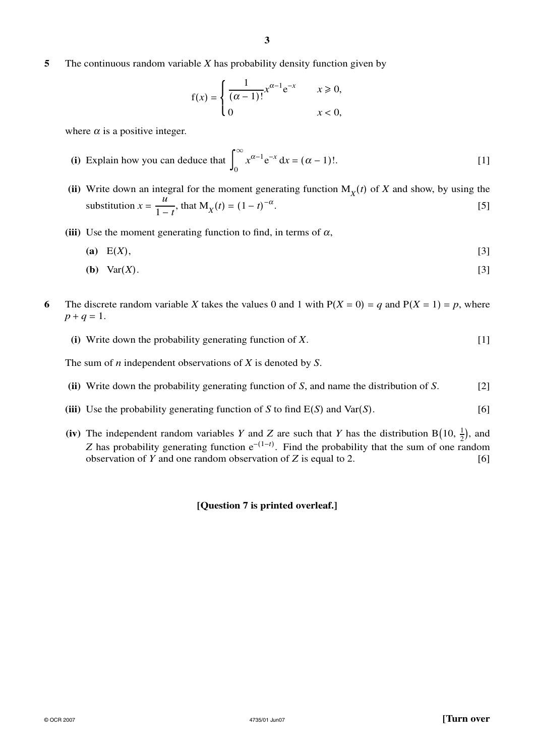**5** The continuous random variable *X* has probability density function given by

$$
f(x) = \begin{cases} \frac{1}{(\alpha - 1)!} x^{\alpha - 1} e^{-x} & x \ge 0, \\ 0 & x < 0, \end{cases}
$$

where  $\alpha$  is a positive integer.

- **(i)** Explain how you can deduce that  $\int_{0}^{\infty}$  $\mathbf{0}$  $x^{\alpha-1}e^{-x} dx = (\alpha - 1)!$ . [1]
- (ii) Write down an integral for the moment generating function  $M_X(t)$  of *X* and show, by using the substitution  $x = \frac{u}{1-t}$ , that  $M_X(t) = (1-t)$  $-\alpha$ . [5]
- **(iii)** Use the moment generating function to find, in terms of  $\alpha$ ,
	- **(a)** E(*X*), [3]
	- **(b)** Var(*X*). [3]
- **6** The discrete random variable *X* takes the values 0 and 1 with  $P(X = 0) = q$  and  $P(X = 1) = p$ , where  $p + q = 1$ .
	- **(i)** Write down the probability generating function of *X*. [1]

The sum of *n* independent observations of *X* is denoted by *S*.

- **(ii)** Write down the probability generating function of *S*, and name the distribution of *S*. [2]
- **(iii)** Use the probability generating function of *S* to find  $E(S)$  and Var $(S)$ . [6]
- **(iv)** The independent random variables *Y* and *Z* are such that *Y* has the distribution B(10,  $\frac{1}{2}$ ), and *Z* has probability generating function  $e^{-(1-t)}$ . Find the probability that the sum of one random observation of *Y* and one random observation of *Z* is equal to 2. [6]

**[Question 7 is printed overleaf.]**